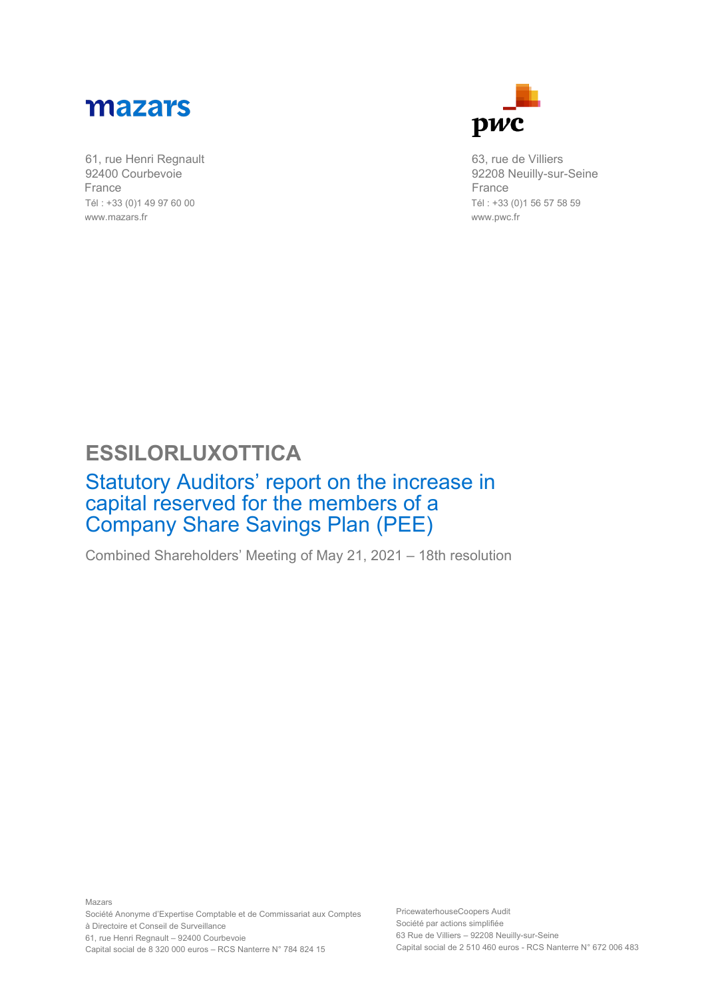

61, rue Henri Regnault 92400 Courbevoie France Tél : +33 (0)1 49 97 60 00 www.mazars.fr



63, rue de Villiers 92208 Neuilly-sur-Seine France Tél : +33 (0)1 56 57 58 59 www.pwc.fr

## **ESSILORLUXOTTICA**

## Statutory Auditors' report on the increase in capital reserved for the members of a Company Share Savings Plan (PEE)

Combined Shareholders' Meeting of May 21, 2021 – 18th resolution

PricewaterhouseCoopers Audit Société par actions simplifiée 63 Rue de Villiers – 92208 Neuilly-sur-Seine Capital social de 2 510 460 euros - RCS Nanterre N° 672 006 483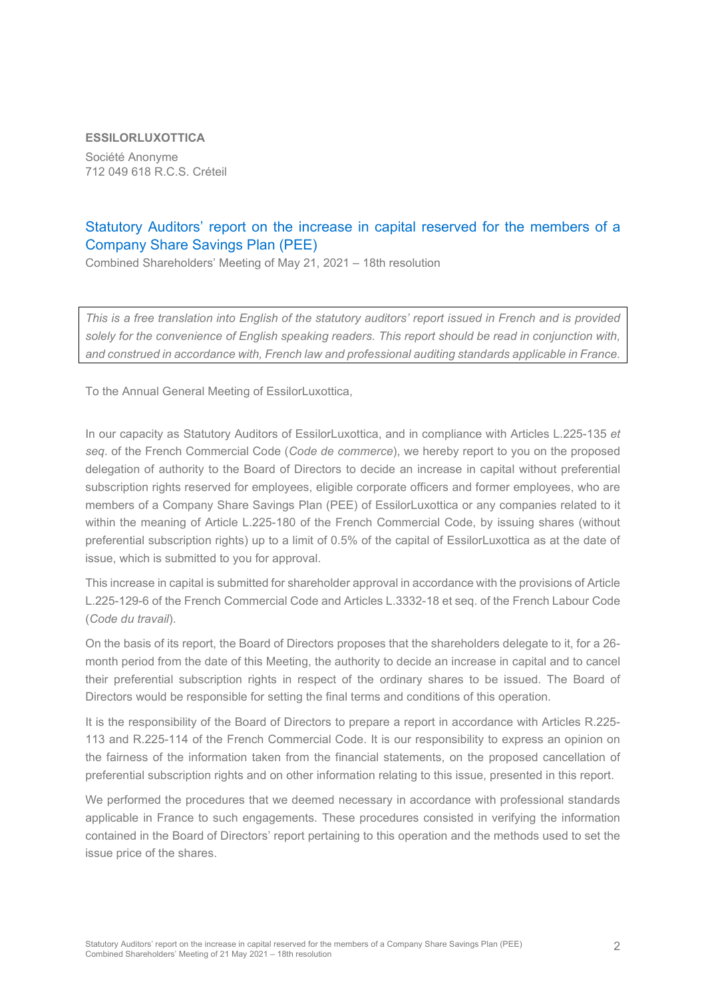## **ESSILORLUXOTTICA**

Société Anonyme 712 049 618 R.C.S. Créteil

## Statutory Auditors' report on the increase in capital reserved for the members of a Company Share Savings Plan (PEE)

Combined Shareholders' Meeting of May 21, 2021 – 18th resolution

*This is a free translation into English of the statutory auditors' report issued in French and is provided solely for the convenience of English speaking readers. This report should be read in conjunction with, and construed in accordance with, French law and professional auditing standards applicable in France.*

To the Annual General Meeting of EssilorLuxottica,

In our capacity as Statutory Auditors of EssilorLuxottica, and in compliance with Articles L.225-135 *et seq*. of the French Commercial Code (*Code de commerce*), we hereby report to you on the proposed delegation of authority to the Board of Directors to decide an increase in capital without preferential subscription rights reserved for employees, eligible corporate officers and former employees, who are members of a Company Share Savings Plan (PEE) of EssilorLuxottica or any companies related to it within the meaning of Article L.225-180 of the French Commercial Code, by issuing shares (without preferential subscription rights) up to a limit of 0.5% of the capital of EssilorLuxottica as at the date of issue, which is submitted to you for approval.

This increase in capital is submitted for shareholder approval in accordance with the provisions of Article L.225-129-6 of the French Commercial Code and Articles L.3332-18 et seq. of the French Labour Code (*Code du travail*).

On the basis of its report, the Board of Directors proposes that the shareholders delegate to it, for a 26 month period from the date of this Meeting, the authority to decide an increase in capital and to cancel their preferential subscription rights in respect of the ordinary shares to be issued. The Board of Directors would be responsible for setting the final terms and conditions of this operation.

It is the responsibility of the Board of Directors to prepare a report in accordance with Articles R.225- 113 and R.225-114 of the French Commercial Code. It is our responsibility to express an opinion on the fairness of the information taken from the financial statements, on the proposed cancellation of preferential subscription rights and on other information relating to this issue, presented in this report.

We performed the procedures that we deemed necessary in accordance with professional standards applicable in France to such engagements. These procedures consisted in verifying the information contained in the Board of Directors' report pertaining to this operation and the methods used to set the issue price of the shares.